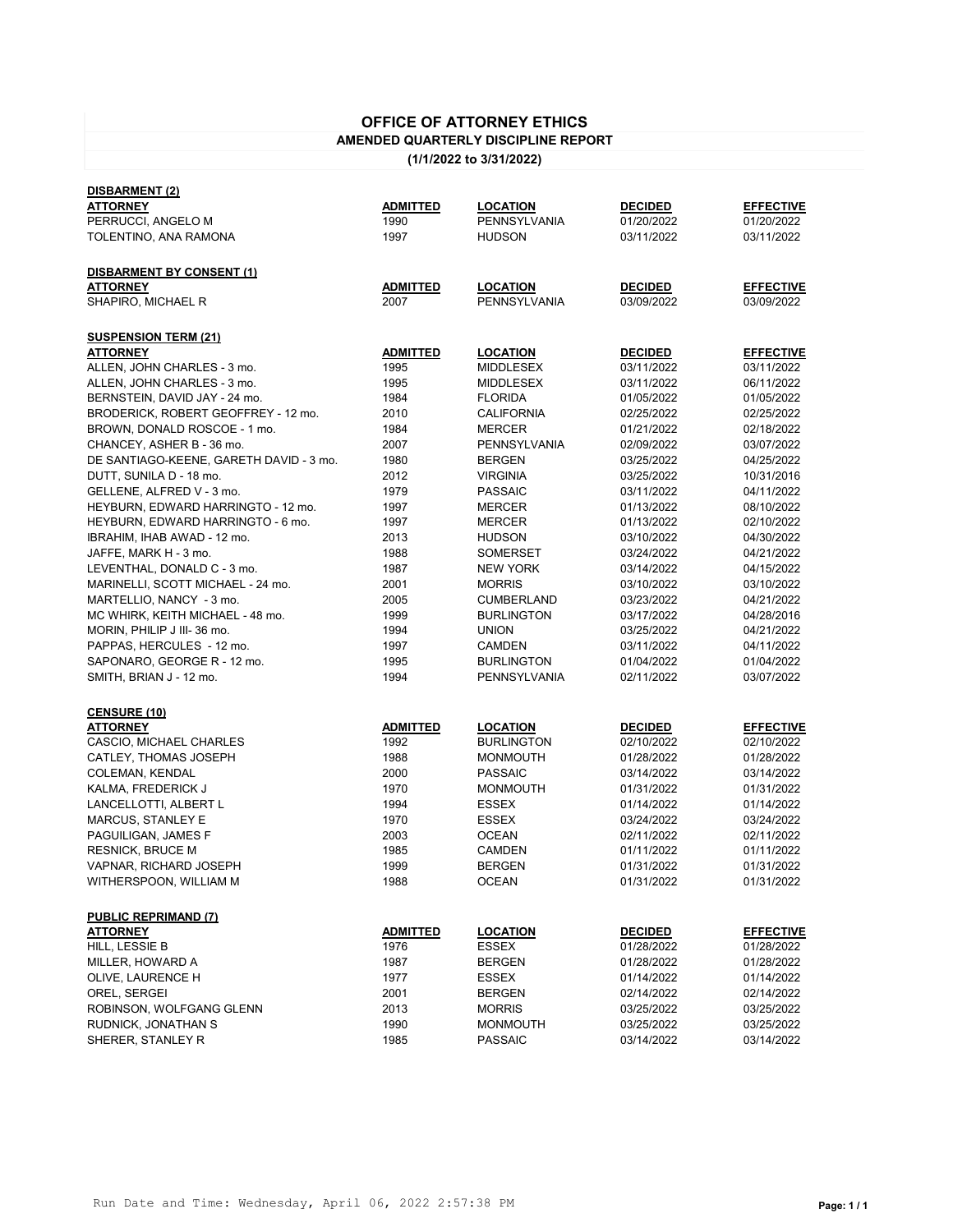## **OFFICE OF ATTORNEY ETHICS AMENDED QUARTERLY DISCIPLINE REPORT**

**(1/1/2022 to 3/31/2022)**

| <u>DISBARMENT (2)</u>                   |                 |                   |                |                  |
|-----------------------------------------|-----------------|-------------------|----------------|------------------|
| <b>ATTORNEY</b>                         | <b>ADMITTED</b> | LOCATION          | <b>DECIDED</b> | <b>EFFECTIVE</b> |
| PERRUCCI, ANGELO M                      | 1990            | PENNSYLVANIA      | 01/20/2022     | 01/20/2022       |
| TOLENTINO, ANA RAMONA                   | 1997            | <b>HUDSON</b>     | 03/11/2022     | 03/11/2022       |
|                                         |                 |                   |                |                  |
| <b>DISBARMENT BY CONSENT (1)</b>        |                 |                   |                |                  |
| ATTORNEY                                | <b>ADMITTED</b> | <u>LOCATION</u>   | <b>DECIDED</b> | <b>EFFECTIVE</b> |
| SHAPIRO, MICHAEL R                      | 2007            | PENNSYLVANIA      | 03/09/2022     | 03/09/2022       |
|                                         |                 |                   |                |                  |
|                                         |                 |                   |                |                  |
| <b>SUSPENSION TERM (21)</b>             |                 |                   |                |                  |
| <b>ATTORNEY</b>                         | ADMITTED        | <u>LOCATION</u>   | <b>DECIDED</b> | <b>EFFECTIVE</b> |
| ALLEN, JOHN CHARLES - 3 mo.             | 1995            | MIDDLESEX         | 03/11/2022     | 03/11/2022       |
| ALLEN, JOHN CHARLES - 3 mo.             | 1995            | <b>MIDDLESEX</b>  | 03/11/2022     | 06/11/2022       |
| BERNSTEIN, DAVID JAY - 24 mo.           | 1984            | <b>FLORIDA</b>    | 01/05/2022     | 01/05/2022       |
| BRODERICK, ROBERT GEOFFREY - 12 mo.     | 2010            | CALIFORNIA        | 02/25/2022     | 02/25/2022       |
| BROWN, DONALD ROSCOE - 1 mo.            | 1984            | <b>MERCER</b>     | 01/21/2022     | 02/18/2022       |
| CHANCEY, ASHER B - 36 mo.               | 2007            | PENNSYLVANIA      | 02/09/2022     | 03/07/2022       |
| DE SANTIAGO-KEENE, GARETH DAVID - 3 mo. | 1980            | <b>BERGEN</b>     | 03/25/2022     | 04/25/2022       |
| DUTT, SUNILA D - 18 mo.                 | 2012            | <b>VIRGINIA</b>   | 03/25/2022     | 10/31/2016       |
| GELLENE, ALFRED V - 3 mo.               | 1979            | <b>PASSAIC</b>    | 03/11/2022     | 04/11/2022       |
| HEYBURN, EDWARD HARRINGTO - 12 mo.      | 1997            | MERCER            | 01/13/2022     | 08/10/2022       |
|                                         |                 |                   |                |                  |
| HEYBURN, EDWARD HARRINGTO - 6 mo.       | 1997            | MERCER            | 01/13/2022     | 02/10/2022       |
| IBRAHIM, IHAB AWAD - 12 mo.             | 2013            | <b>HUDSON</b>     | 03/10/2022     | 04/30/2022       |
| JAFFE, MARK H - 3 mo.                   | 1988            | SOMERSET          | 03/24/2022     | 04/21/2022       |
| LEVENTHAL, DONALD C - 3 mo.             | 1987            | <b>NEW YORK</b>   | 03/14/2022     | 04/15/2022       |
| MARINELLI, SCOTT MICHAEL - 24 mo.       | 2001            | <b>MORRIS</b>     | 03/10/2022     | 03/10/2022       |
| MARTELLIO, NANCY - 3 mo.                | 2005            | CUMBERLAND        | 03/23/2022     | 04/21/2022       |
| MC WHIRK, KEITH MICHAEL - 48 mo.        | 1999            | <b>BURLINGTON</b> | 03/17/2022     | 04/28/2016       |
| MORIN, PHILIP J III-36 mo.              | 1994            | <b>UNION</b>      | 03/25/2022     | 04/21/2022       |
| PAPPAS, HERCULES - 12 mo.               | 1997            | CAMDEN            | 03/11/2022     | 04/11/2022       |
| SAPONARO, GEORGE R - 12 mo.             | 1995            | <b>BURLINGTON</b> | 01/04/2022     | 01/04/2022       |
| SMITH, BRIAN J - 12 mo.                 | 1994            | PENNSYLVANIA      | 02/11/2022     | 03/07/2022       |
|                                         |                 |                   |                |                  |
| <b>CENSURE (10)</b>                     |                 |                   |                |                  |
| ATTORNEY                                | <b>ADMITTED</b> | LOCATION          | <b>DECIDED</b> | <b>EFFECTIVE</b> |
| CASCIO, MICHAEL CHARLES                 | 1992            | <b>BURLINGTON</b> | 02/10/2022     | 02/10/2022       |
| CATLEY, THOMAS JOSEPH                   | 1988            | <b>MONMOUTH</b>   | 01/28/2022     | 01/28/2022       |
|                                         | 2000            | <b>PASSAIC</b>    | 03/14/2022     | 03/14/2022       |
| COLEMAN, KENDAL                         |                 |                   |                |                  |
| KALMA, FREDERICK J                      | 1970            | <b>MONMOUTH</b>   | 01/31/2022     | 01/31/2022       |
| LANCELLOTTI, ALBERT L                   | 1994            | <b>ESSEX</b>      | 01/14/2022     | 01/14/2022       |
| <b>MARCUS, STANLEY E</b>                | 1970            | ESSEX             | 03/24/2022     | 03/24/2022       |
| PAGUILIGAN, JAMES F                     | 2003            | <b>OCEAN</b>      | 02/11/2022     | 02/11/2022       |
| <b>RESNICK, BRUCE M</b>                 | 1985            | CAMDEN            | 01/11/2022     | 01/11/2022       |
| VAPNAR, RICHARD JOSEPH                  | 1999            | <b>BERGEN</b>     | 01/31/2022     | 01/31/2022       |
| WITHERSPOON, WILLIAM M                  | 1988            | <b>OCEAN</b>      | 01/31/2022     | 01/31/2022       |
|                                         |                 |                   |                |                  |
| <b>PUBLIC REPRIMAND (7)</b>             |                 |                   |                |                  |
| <b>ATTORNEY</b>                         | <b>ADMITTED</b> | LOCATION          | <b>DECIDED</b> | <b>EFFECTIVE</b> |
| HILL, LESSIE B                          | 1976            | ESSEX             | 01/28/2022     | 01/28/2022       |
| MILLER, HOWARD A                        | 1987            | <b>BERGEN</b>     | 01/28/2022     | 01/28/2022       |
| OLIVE, LAURENCE H                       | 1977            | ESSEX             | 01/14/2022     | 01/14/2022       |
| OREL, SERGEI                            | 2001            | <b>BERGEN</b>     | 02/14/2022     | 02/14/2022       |
| ROBINSON, WOLFGANG GLENN                | 2013            | <b>MORRIS</b>     | 03/25/2022     | 03/25/2022       |
| RUDNICK, JONATHAN S                     | 1990            | <b>MONMOUTH</b>   | 03/25/2022     | 03/25/2022       |
| SHERER, STANLEY R                       | 1985            | <b>PASSAIC</b>    | 03/14/2022     | 03/14/2022       |
|                                         |                 |                   |                |                  |